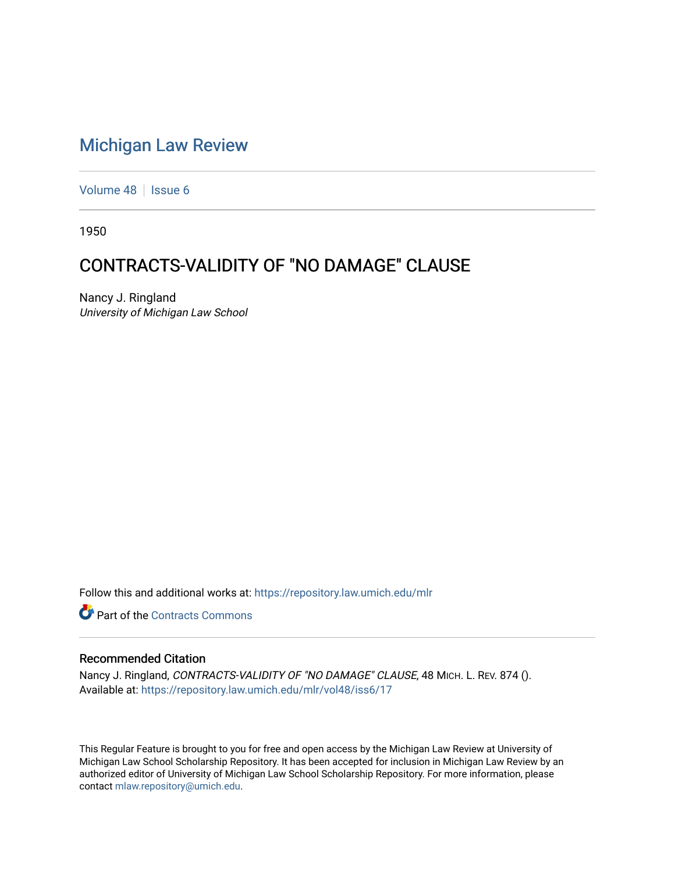## [Michigan Law Review](https://repository.law.umich.edu/mlr)

[Volume 48](https://repository.law.umich.edu/mlr/vol48) | [Issue 6](https://repository.law.umich.edu/mlr/vol48/iss6)

1950

## CONTRACTS-VALIDITY OF "NO DAMAGE" CLAUSE

Nancy J. Ringland University of Michigan Law School

Follow this and additional works at: [https://repository.law.umich.edu/mlr](https://repository.law.umich.edu/mlr?utm_source=repository.law.umich.edu%2Fmlr%2Fvol48%2Fiss6%2F17&utm_medium=PDF&utm_campaign=PDFCoverPages) 

**C** Part of the [Contracts Commons](http://network.bepress.com/hgg/discipline/591?utm_source=repository.law.umich.edu%2Fmlr%2Fvol48%2Fiss6%2F17&utm_medium=PDF&utm_campaign=PDFCoverPages)

## Recommended Citation

Nancy J. Ringland, CONTRACTS-VALIDITY OF "NO DAMAGE" CLAUSE, 48 MICH. L. REV. 874 (). Available at: [https://repository.law.umich.edu/mlr/vol48/iss6/17](https://repository.law.umich.edu/mlr/vol48/iss6/17?utm_source=repository.law.umich.edu%2Fmlr%2Fvol48%2Fiss6%2F17&utm_medium=PDF&utm_campaign=PDFCoverPages) 

This Regular Feature is brought to you for free and open access by the Michigan Law Review at University of Michigan Law School Scholarship Repository. It has been accepted for inclusion in Michigan Law Review by an authorized editor of University of Michigan Law School Scholarship Repository. For more information, please contact [mlaw.repository@umich.edu](mailto:mlaw.repository@umich.edu).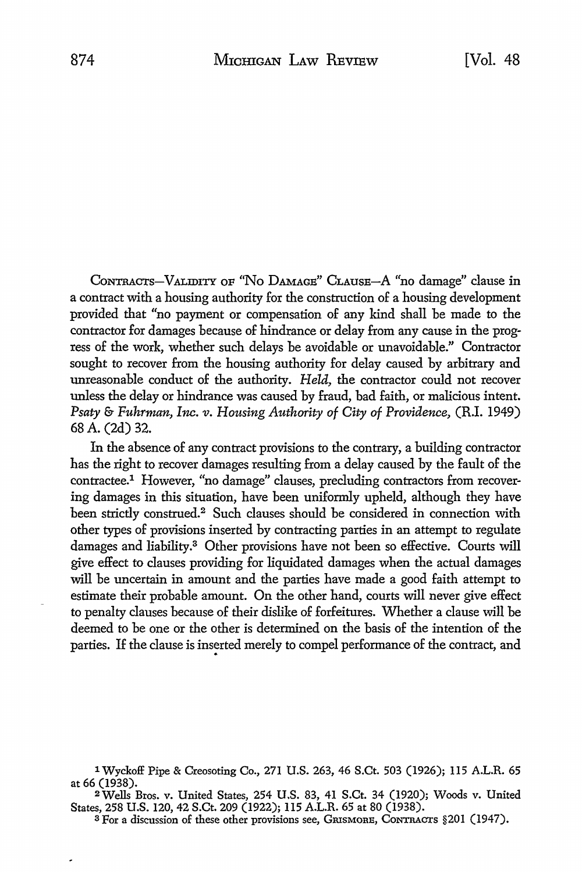CoNTRAcTs-V ALIDITY OF "No DAMAGE" CLAUSE-A "no damage" clause in a contract with a housing authority for the construction of a housing development provided that "no payment or compensation of any kind shall be made to the contractor for damages because of hindrance or delay from any cause in the progress of the work, whether such delays be avoidable or unavoidable." Contractor sought to recover from the housing authority for delay caused by arbitrary and unreasonable conduct of the authority. *Held,* the contractor could not recover unless the delay or hindrance was caused by fraud, bad faith, or malicious intent. *Psaty* & *Fuhrman, Inc. v. Housing Authority of City of Providence,* CR.I. 1949) 68 A. (2d) 32.

In the absence of any contract provisions to the contrary, a building contractor has the right to recover damages resulting from a delay caused by the fault of the contractee.1 However, "no damage" clauses, precluding contractors from recovering damages in this situation, have been uniformly upheld, although they have been strictly construed.<sup>2</sup> Such clauses should be considered in connection with other types of provisions inserted by contracting parties in an attempt to regulate damages and liability.<sup>3</sup> Other provisions have not been so effective. Courts will give effect to clauses providing for liquidated damages when the actual damages will be uncertain in amount and the parties have made a good faith attempt to estimate their probable amount. On the other hand, courts will never give effect to penalty clauses because of their dislike of forfeitures. Whether a clause will be deemed to be one or the other is determined on the basis of the intention of the parties. If the clause is inserted merely to compel performance of the contract, and

<sup>1</sup> Wyckoff Pipe & Creosoting Co., 271 U.S. 263, 46 S.Ct. 503 (1926); 115 A.L.R. 65 at 66 (1938).

<sup>2</sup>Wells Bros. v. United States, 254 U.S. 83, 41 S.Ct. 34 (1920); Woods v. United States, 258 U.S. 120, 42 S.Ct. 209 (1922); 115 A.L.R. 65 at 80 (1938).

a For a discussion of these other provisions see, GRISMORE, CONTRACTS §201 (1947).